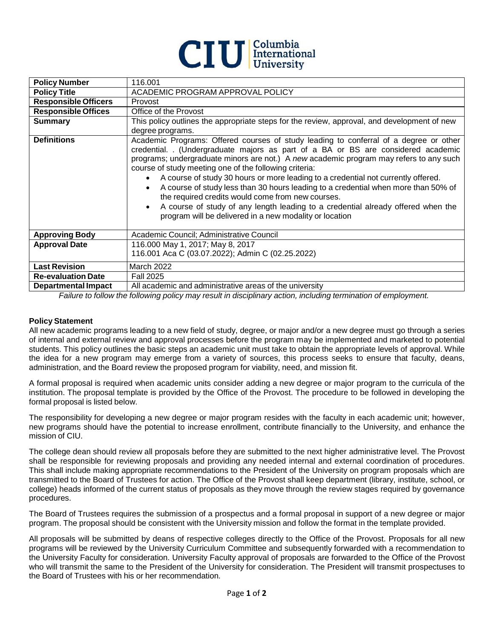

| <b>Policy Number</b>        | 116.001                                                                                                                                                                                                                                                                                                                                                                                                                                                                                                                                                                                                                                                                                                                                 |
|-----------------------------|-----------------------------------------------------------------------------------------------------------------------------------------------------------------------------------------------------------------------------------------------------------------------------------------------------------------------------------------------------------------------------------------------------------------------------------------------------------------------------------------------------------------------------------------------------------------------------------------------------------------------------------------------------------------------------------------------------------------------------------------|
| <b>Policy Title</b>         | ACADEMIC PROGRAM APPROVAL POLICY                                                                                                                                                                                                                                                                                                                                                                                                                                                                                                                                                                                                                                                                                                        |
| <b>Responsible Officers</b> | Provost                                                                                                                                                                                                                                                                                                                                                                                                                                                                                                                                                                                                                                                                                                                                 |
| <b>Responsible Offices</b>  | Office of the Provost                                                                                                                                                                                                                                                                                                                                                                                                                                                                                                                                                                                                                                                                                                                   |
| <b>Summary</b>              | This policy outlines the appropriate steps for the review, approval, and development of new<br>degree programs.                                                                                                                                                                                                                                                                                                                                                                                                                                                                                                                                                                                                                         |
| <b>Definitions</b>          | Academic Programs: Offered courses of study leading to conferral of a degree or other<br>credential. . (Undergraduate majors as part of a BA or BS are considered academic<br>programs; undergraduate minors are not.) A new academic program may refers to any such<br>course of study meeting one of the following criteria:<br>A course of study 30 hours or more leading to a credential not currently offered.<br>$\bullet$<br>A course of study less than 30 hours leading to a credential when more than 50% of<br>the required credits would come from new courses.<br>A course of study of any length leading to a credential already offered when the<br>$\bullet$<br>program will be delivered in a new modality or location |
| <b>Approving Body</b>       | Academic Council; Administrative Council                                                                                                                                                                                                                                                                                                                                                                                                                                                                                                                                                                                                                                                                                                |
| <b>Approval Date</b>        | 116.000 May 1, 2017; May 8, 2017                                                                                                                                                                                                                                                                                                                                                                                                                                                                                                                                                                                                                                                                                                        |
|                             | 116.001 Aca C (03.07.2022); Admin C (02.25.2022)                                                                                                                                                                                                                                                                                                                                                                                                                                                                                                                                                                                                                                                                                        |
| <b>Last Revision</b>        | <b>March 2022</b>                                                                                                                                                                                                                                                                                                                                                                                                                                                                                                                                                                                                                                                                                                                       |
| <b>Re-evaluation Date</b>   | <b>Fall 2025</b>                                                                                                                                                                                                                                                                                                                                                                                                                                                                                                                                                                                                                                                                                                                        |
| <b>Departmental Impact</b>  | All academic and administrative areas of the university                                                                                                                                                                                                                                                                                                                                                                                                                                                                                                                                                                                                                                                                                 |

*Failure to follow the following policy may result in disciplinary action, including termination of employment.*

## **Policy Statement**

All new academic programs leading to a new field of study, degree, or major and/or a new degree must go through a series of internal and external review and approval processes before the program may be implemented and marketed to potential students. This policy outlines the basic steps an academic unit must take to obtain the appropriate levels of approval. While the idea for a new program may emerge from a variety of sources, this process seeks to ensure that faculty, deans, administration, and the Board review the proposed program for viability, need, and mission fit.

A formal proposal is required when academic units consider adding a new degree or major program to the curricula of the institution. The proposal template is provided by the Office of the Provost. The procedure to be followed in developing the formal proposal is listed below.

The responsibility for developing a new degree or major program resides with the faculty in each academic unit; however, new programs should have the potential to increase enrollment, contribute financially to the University, and enhance the mission of CIU.

The college dean should review all proposals before they are submitted to the next higher administrative level. The Provost shall be responsible for reviewing proposals and providing any needed internal and external coordination of procedures. This shall include making appropriate recommendations to the President of the University on program proposals which are transmitted to the Board of Trustees for action. The Office of the Provost shall keep department (library, institute, school, or college) heads informed of the current status of proposals as they move through the review stages required by governance procedures.

The Board of Trustees requires the submission of a prospectus and a formal proposal in support of a new degree or major program. The proposal should be consistent with the University mission and follow the format in the template provided.

All proposals will be submitted by deans of respective colleges directly to the Office of the Provost. Proposals for all new programs will be reviewed by the University Curriculum Committee and subsequently forwarded with a recommendation to the University Faculty for consideration. University Faculty approval of proposals are forwarded to the Office of the Provost who will transmit the same to the President of the University for consideration. The President will transmit prospectuses to the Board of Trustees with his or her recommendation.